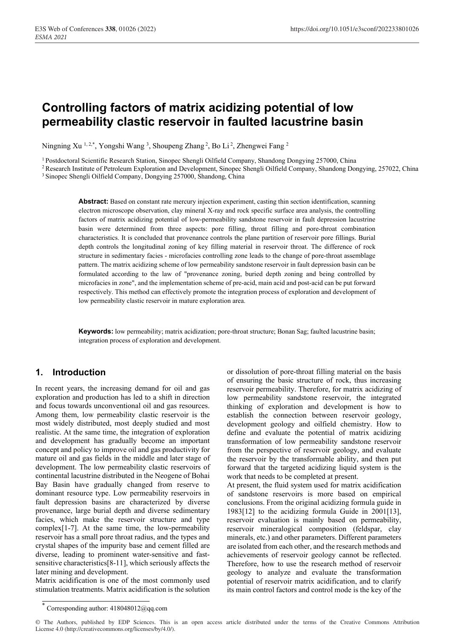# **Controlling factors of matrix acidizing potential of low permeability clastic reservoir in faulted lacustrine basin**

Ningning Xu 1,2,\*, Yongshi Wang 3, Shoupeng Zhang 2, Bo Li 2, Zhengwei Fang 2

<sup>1</sup> Postdoctoral Scientific Research Station, Sinopec Shengli Oilfield Company, Shandong Dongying 257000, China<br><sup>2</sup> Research Institute of Petroleum Exploration and Development, Sinopec Shengli Oilfield Company, Shandong Do

**Abstract:** Based on constant rate mercury injection experiment, casting thin section identification, scanning electron microscope observation, clay mineral X-ray and rock specific surface area analysis, the controlling factors of matrix acidizing potential of low-permeability sandstone reservoir in fault depression lacustrine basin were determined from three aspects: pore filling, throat filling and pore-throat combination characteristics. It is concluded that provenance controls the plane partition of reservoir pore fillings. Burial depth controls the longitudinal zoning of key filling material in reservoir throat. The difference of rock structure in sedimentary facies - microfacies controlling zone leads to the change of pore-throat assemblage pattern. The matrix acidizing scheme of low permeability sandstone reservoir in fault depression basin can be formulated according to the law of "provenance zoning, buried depth zoning and being controlled by microfacies in zone", and the implementation scheme of pre-acid, main acid and post-acid can be put forward respectively. This method can effectively promote the integration process of exploration and development of low permeability clastic reservoir in mature exploration area.

**Keywords:** low permeability; matrix acidization; pore-throat structure; Bonan Sag; faulted lacustrine basin; integration process of exploration and development.

### **1. Introduction**

In recent years, the increasing demand for oil and gas exploration and production has led to a shift in direction and focus towards unconventional oil and gas resources. Among them, low permeability clastic reservoir is the most widely distributed, most deeply studied and most realistic. At the same time, the integration of exploration and development has gradually become an important concept and policy to improve oil and gas productivity for mature oil and gas fields in the middle and later stage of development. The low permeability clastic reservoirs of continental lacustrine distributed in the Neogene of Bohai Bay Basin have gradually changed from reserve to dominant resource type. Low permeability reservoirs in fault depression basins are characterized by diverse provenance, large burial depth and diverse sedimentary facies, which make the reservoir structure and type complex[1-7]. At the same time, the low-permeability reservoir has a small pore throat radius, and the types and crystal shapes of the impurity base and cement filled are diverse, leading to prominent water-sensitive and fastsensitive characteristics[8-11], which seriously affects the later mining and development.

Matrix acidification is one of the most commonly used stimulation treatments. Matrix acidification is the solution

or dissolution of pore-throat filling material on the basis of ensuring the basic structure of rock, thus increasing reservoir permeability. Therefore, for matrix acidizing of low permeability sandstone reservoir, the integrated thinking of exploration and development is how to establish the connection between reservoir geology, development geology and oilfield chemistry. How to define and evaluate the potential of matrix acidizing transformation of low permeability sandstone reservoir from the perspective of reservoir geology, and evaluate the reservoir by the transformable ability, and then put forward that the targeted acidizing liquid system is the work that needs to be completed at present.

At present, the fluid system used for matrix acidification of sandstone reservoirs is more based on empirical conclusions. From the original acidizing formula guide in 1983[12] to the acidizing formula Guide in 2001[13], reservoir evaluation is mainly based on permeability, reservoir mineralogical composition (feldspar, clay minerals, etc.) and other parameters. Different parameters are isolated from each other, and the research methods and achievements of reservoir geology cannot be reflected. Therefore, how to use the research method of reservoir geology to analyze and evaluate the transformation potential of reservoir matrix acidification, and to clarify its main control factors and control mode is the key of the

<sup>\*</sup> Corresponding author: 418048012@qq.com

<sup>©</sup> The Authors, published by EDP Sciences. This is an open access article distributed under the terms of the Creative Commons Attribution License 4.0 (http://creativecommons.org/licenses/by/4.0/).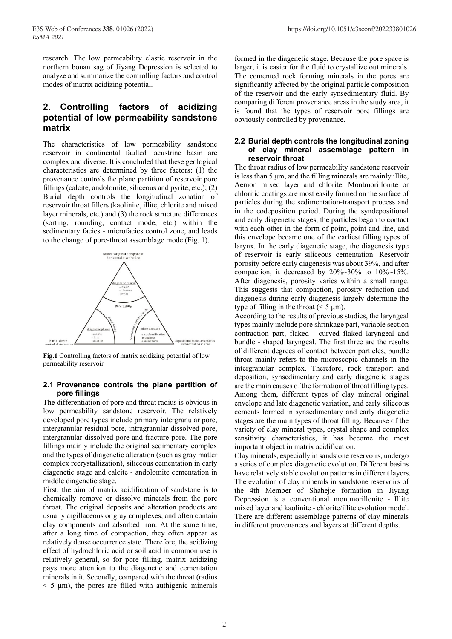E3S Web of Conferences 338, 01026 (2022) https://doi.org/10.1051/e3sconf/202233801026

research. The low permeability clastic reservoir in the northern bonan sag of Jiyang Depression is selected to analyze and summarize the controlling factors and control modes of matrix acidizing potential.

### **2. Controlling factors of acidizing potential of low permeability sandstone matrix**

The characteristics of low permeability sandstone reservoir in continental faulted lacustrine basin are complex and diverse. It is concluded that these geological characteristics are determined by three factors: (1) the provenance controls the plane partition of reservoir pore fillings (calcite, andolomite, siliceous and pyrite, etc.); (2) Burial depth controls the longitudinal zonation of reservoir throat fillers (kaolinite, illite, chlorite and mixed layer minerals, etc.) and (3) the rock structure differences (sorting, rounding, contact mode, etc.) within the sedimentary facies - microfacies control zone, and leads to the change of pore-throat assemblage mode (Fig. 1).



**Fig.1** Controlling factors of matrix acidizing potential of low permeability reservoir

#### **2.1 Provenance controls the plane partition of pore fillings**

The differentiation of pore and throat radius is obvious in low permeability sandstone reservoir. The relatively developed pore types include primary intergranular pore, intergranular residual pore, intragranular dissolved pore, intergranular dissolved pore and fracture pore. The pore fillings mainly include the original sedimentary complex and the types of diagenetic alteration (such as gray matter complex recrystallization), siliceous cementation in early diagenetic stage and calcite - andolomite cementation in middle diagenetic stage.

First, the aim of matrix acidification of sandstone is to chemically remove or dissolve minerals from the pore throat. The original deposits and alteration products are usually argillaceous or gray complexes, and often contain clay components and adsorbed iron. At the same time, after a long time of compaction, they often appear as relatively dense occurrence state. Therefore, the acidizing effect of hydrochloric acid or soil acid in common use is relatively general, so for pore filling, matrix acidizing pays more attention to the diagenetic and cementation minerals in it. Secondly, compared with the throat (radius  $<$  5  $\mu$ m), the pores are filled with authigenic minerals

formed in the diagenetic stage. Because the pore space is larger, it is easier for the fluid to crystallize out minerals. The cemented rock forming minerals in the pores are significantly affected by the original particle composition of the reservoir and the early synsedimentary fluid. By comparing different provenance areas in the study area, it is found that the types of reservoir pore fillings are obviously controlled by provenance.

#### **2.2 Burial depth controls the longitudinal zoning of clay mineral assemblage pattern in reservoir throat**

The throat radius of low permeability sandstone reservoir is less than 5 μm, and the filling minerals are mainly illite, Aemon mixed layer and chlorite. Montmorillonite or chloritic coatings are most easily formed on the surface of particles during the sedimentation-transport process and in the codeposition period. During the syndepositional and early diagenetic stages, the particles began to contact with each other in the form of point, point and line, and this envelope became one of the earliest filling types of larynx. In the early diagenetic stage, the diagenesis type of reservoir is early siliceous cementation. Reservoir porosity before early diagenesis was about 39%, and after compaction, it decreased by  $20\%~30\%$  to  $10\%~15\%$ . After diagenesis, porosity varies within a small range. This suggests that compaction, porosity reduction and diagenesis during early diagenesis largely determine the type of filling in the throat  $(< 5 \mu m)$ .

According to the results of previous studies, the laryngeal types mainly include pore shrinkage part, variable section contraction part, flaked - curved flaked laryngeal and bundle - shaped laryngeal. The first three are the results of different degrees of contact between particles, bundle throat mainly refers to the microscopic channels in the intergranular complex. Therefore, rock transport and deposition, synsedimentary and early diagenetic stages are the main causes of the formation of throat filling types. Among them, different types of clay mineral original envelope and late diagenetic variation, and early siliceous cements formed in synsedimentary and early diagenetic stages are the main types of throat filling. Because of the variety of clay mineral types, crystal shape and complex sensitivity characteristics, it has become the most important object in matrix acidification.

Clay minerals, especially in sandstone reservoirs, undergo a series of complex diagenetic evolution. Different basins have relatively stable evolution patterns in different layers. The evolution of clay minerals in sandstone reservoirs of the 4th Member of Shahejie formation in Jiyang Depression is a conventional montmorillonite - Illite mixed layer and kaolinite - chlorite/illite evolution model. There are different assemblage patterns of clay minerals in different provenances and layers at different depths.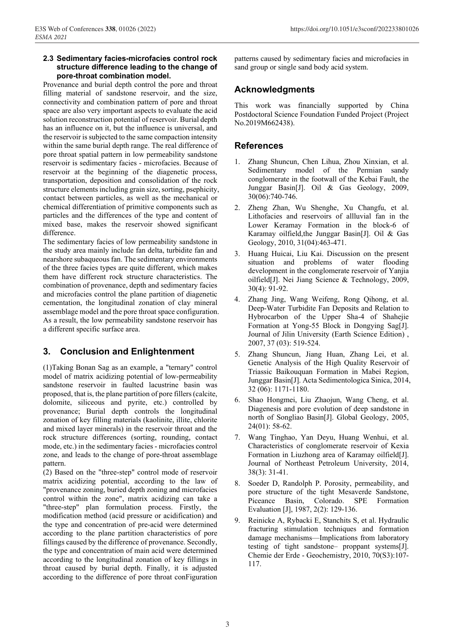#### **2.3 Sedimentary facies-microfacies control rock structure difference leading to the change of pore-throat combination model.**

Provenance and burial depth control the pore and throat filling material of sandstone reservoir, and the size, connectivity and combination pattern of pore and throat space are also very important aspects to evaluate the acid solution reconstruction potential of reservoir. Burial depth has an influence on it, but the influence is universal, and the reservoir is subjected to the same compaction intensity within the same burial depth range. The real difference of pore throat spatial pattern in low permeability sandstone reservoir is sedimentary facies - microfacies. Because of reservoir at the beginning of the diagenetic process, transportation, deposition and consolidation of the rock structure elements including grain size, sorting, psephicity, contact between particles, as well as the mechanical or chemical differentiation of primitive components such as particles and the differences of the type and content of mixed base, makes the reservoir showed significant difference.

The sedimentary facies of low permeability sandstone in the study area mainly include fan delta, turbidite fan and nearshore subaqueous fan. The sedimentary environments of the three facies types are quite different, which makes them have different rock structure characteristics. The combination of provenance, depth and sedimentary facies and microfacies control the plane partition of diagenetic cementation, the longitudinal zonation of clay mineral assemblage model and the pore throat space configuration. As a result, the low permeability sandstone reservoir has a different specific surface area.

### **3. Conclusion and Enlightenment**

(1)Taking Bonan Sag as an example, a "ternary" control model of matrix acidizing potential of low-permeability sandstone reservoir in faulted lacustrine basin was proposed, that is, the plane partition of pore fillers (calcite, dolomite, siliceous and pyrite, etc.) controlled by provenance; Burial depth controls the longitudinal zonation of key filling materials (kaolinite, illite, chlorite and mixed layer minerals) in the reservoir throat and the rock structure differences (sorting, rounding, contact mode, etc.) in the sedimentary facies - microfacies control zone, and leads to the change of pore-throat assemblage pattern.

(2) Based on the "three-step" control mode of reservoir matrix acidizing potential, according to the law of "provenance zoning, buried depth zoning and microfacies control within the zone", matrix acidizing can take a "three-step" plan formulation process. Firstly, the modification method (acid pressure or acidification) and the type and concentration of pre-acid were determined according to the plane partition characteristics of pore fillings caused by the difference of provenance. Secondly, the type and concentration of main acid were determined according to the longitudinal zonation of key fillings in throat caused by burial depth. Finally, it is adjusted according to the difference of pore throat conFiguration

patterns caused by sedimentary facies and microfacies in sand group or single sand body acid system.

## **Acknowledgments**

This work was financially supported by China Postdoctoral Science Foundation Funded Project (Project No.2019M662438).

### **References**

- 1. Zhang Shuncun, Chen Lihua, Zhou Xinxian, et al. Sedimentary model of the Permian sandy conglomerate in the footwall of the Kebai Fault, the Junggar Basin[J]. Oil & Gas Geology, 2009, 30(06):740-746.
- 2. Zheng Zhan, Wu Shenghe, Xu Changfu, et al. Lithofacies and reservoirs of allluvial fan in the Lower Keramay Formation in the block-6 of Karamay oilfield,the Junggar Basin[J]. Oil & Gas Geology, 2010, 31(04):463-471.
- 3. Huang Huicai, Liu Kai. Discussion on the present situation and problems of water flooding development in the conglomerate reservoir of Yanjia oilfield[J]. Nei Jiang Science & Technology, 2009, 30(4): 91-92.
- 4. Zhang Jing, Wang Weifeng, Rong Qihong, et al. Deep-Water Turbidite Fan Deposits and Relation to Hybrocarbon of the Upper Sha-4 of Shahejie Formation at Yong-55 Block in Dongying Sag[J]. Journal of Jilin University (Earth Science Edition) , 2007, 37 (03): 519-524.
- 5. Zhang Shuncun, Jiang Huan, Zhang Lei, et al. Genetic Analysis of the High Quality Reservoir of Triassic Baikouquan Formation in Mabei Region, Junggar Basin[J]. Acta Sedimentologica Sinica, 2014, 32 (06): 1171-1180.
- 6. Shao Hongmei, Liu Zhaojun, Wang Cheng, et al. Diagenesis and pore evolution of deep sandstone in north of Songliao Basin[J]. Global Geology, 2005, 24(01): 58-62.
- 7. Wang Tinghao, Yan Deyu, Huang Wenhui, et al. Characteristics of conglomerate reservoir of Kexia Formation in Liuzhong area of Karamay oilfield[J]. Journal of Northeast Petroleum University, 2014, 38(3): 31-41.
- 8. Soeder D, Randolph P. Porosity, permeability, and pore structure of the tight Mesaverde Sandstone, Piceance Basin, Colorado. SPE Formation Evaluation [J], 1987, 2(2): 129-136.
- 9. Reinicke A, Rybacki E, Stanchits S, et al. Hydraulic fracturing stimulation techniques and formation damage mechanisms—Implications from laboratory testing of tight sandstone– proppant systems[J]. Chemie der Erde - Geochemistry, 2010, 70(S3):107- 117.